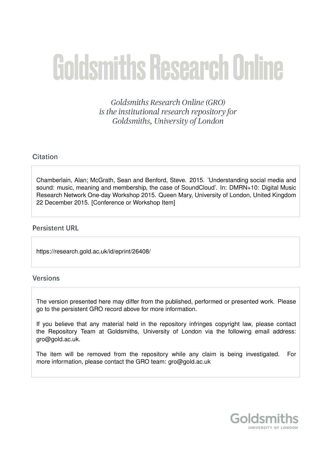# **Goldsmiths Research Online**

Goldsmiths Research Online (GRO) is the institutional research repository for Goldsmiths, University of London

# Citation

Chamberlain, Alan; McGrath, Sean and Benford, Steve. 2015. 'Understanding social media and sound: music, meaning and membership, the case of SoundCloud'. In: DMRN+10: Digital Music Research Network One-day Workshop 2015. Queen Mary, University of London, United Kingdom 22 December 2015. [Conference or Workshop Item]

## **Persistent URL**

https://research.gold.ac.uk/id/eprint/26408/

## Versions

The version presented here may differ from the published, performed or presented work. Please go to the persistent GRO record above for more information.

If you believe that any material held in the repository infringes copyright law, please contact the Repository Team at Goldsmiths, University of London via the following email address: gro@gold.ac.uk.

The item will be removed from the repository while any claim is being investigated. For more information, please contact the GRO team: gro@gold.ac.uk

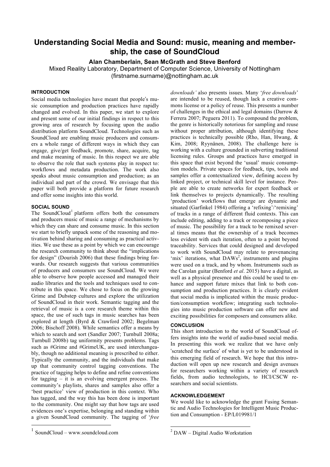# **Understanding Social Media and Sound: music, meaning and membership, the case of SoundCloud**

**Alan Chamberlain, Sean McGrath and Steve Benford**

Mixed Reality Laboratory, Department of Computer Science, University of Nottingham (firstname.surname)@nottingham.ac.uk

## **INTRODUCTION**

Social media technologies have meant that people's music consumption and production practices have rapidly changed and evolved. In this paper, we start to explore and present some of our initial findings in respect to this growing area of research by focusing upon the audio distribution platform SoundCloud. Technologies such as SoundCloud are enabling music producers and consumers a whole range of different ways in which they can engage, give/get feedback, promote, share, acquire, tag and make meaning of music. In this respect we are able to observe the role that such systems play in respect to: workflows and metadata production. The work also speaks about music consumption and production; as an individual and part of the crowd. We envisage that this paper will both provide a platform for future research and offer some insights into this world.

#### **SOCIAL SOUND**

The SoundCloud<sup>1</sup> platform offers both the consumers and producers music of music a range of mechanisms by which they can share and consume music. In this section we start to briefly unpack some of the reasoning and motivation behind sharing and consuming as practical activities. We use these as a point by which we can encourage the research community to think about the "implications for design" (Dourish 2006) that these findings bring forwards. Our research suggests that various communities of producers and consumers use SoundCloud. We were able to observe how people accessed and managed their audio libraries and the tools and techniques used to contribute in this space. We chose to focus on the growing Grime and Dubstep cultures and explore the utilization of SoundCloud in their work. Semantic tagging and the retrieval of music is a core research theme within this space, the use of such tags in music searches has been explored at length (Byrd & Crawford 2002; Begelman 2006; Bischoff 2008). While semantics offer a means by which to search and sort (Sandler 2007; Turnbull 2008a; Turnbull 2008b) tag uniformity presents problems. Tags such as #Grime and #GrimeUK, are used interchangeably, though no additional meaning is prescribed to either. Typically the community, and the individuals that make up that community control tagging conventions. The practice of tagging helps to define and refine conventions for tagging – it is an evolving emergent process. The community's playlists, shares and samples also offer a 'best practice' view of production in this context. Who has tagged, and the way this has been done is important to the community. One might say that how tags are used evidences one's expertise, belonging and standing within a given SoundCloud community. The tagging of '*free*

*downloads'* also presents issues. Many '*free downloads*' are intended to be reused, though lack a creative commons license or a policy of reuse. This presents a number of challenges in the ethical and legal domains (Darrow & Ferrera 2007; Peguera 2011). To compound the problem, the genre is historically notorious for sampling and reuse without proper attribution, although identifying these practices is technically possible (Rho, Han, Hwang, & Kim, 2008; Ryynänen, 2008). The challenge here is working with a culture grounded in subverting traditional licensing rules. Groups and practices have emerged in this space that exist beyond the 'usual' music consumption models. Private spaces for feedback, tips, tools and samples offer a contextualized view, defining access by linked project, or technical skill level for instance. People are able to create networks for expert feedback or link themselves to projects dynamically. The resulting 'production' workflows that emerge are dynamic and situated (Garfinkel 1984) offering a 'refixing'/'remixing' of tracks in a range of different fluid contexts. This can include editing, adding to a track or recomposing a piece of music. The possibility for a track to be remixed several times means that the ownership of a track becomes less evident with each iteration, often to a point beyond traceability. Services that could designed and developed to work with SoundCloud may relate to provenancing 'mix' iterations, what DAWs<sup>2</sup>, instruments and plugins were used on a track, and by whom. Instruments such as the Carolan guitar (Benford *et al*. 2015) have a digital, as well as a physical presence and this could be used to enhance and support future mixes that link to both consumption and production practices. It is clearly evident that social media is implicated within the music production/consumption workflow; integrating such technologies into music production software can offer new and exciting possibilities for composers and consumers alike.

#### **CONCLUSION**

This short introduction to the world of SoundCloud offers insights into the world of audio-based social media. In presenting this work we realize that we have only 'scratched the surface' of what is yet to be understood in this emerging field of research. We hope that this introduction will open up new research and design avenues for researchers working within a variety of research fields, from audio technologists, to HCI/CSCW researchers and social scientists.

## **ACKNOWLEDGEMENT**

We would like to acknowledge the grant Fusing Semantic and Audio Technologies for Intelligent Music Production and Consumption - EP/L019981/1

 <sup>1</sup> SoundCloud – www.soundcloud.com